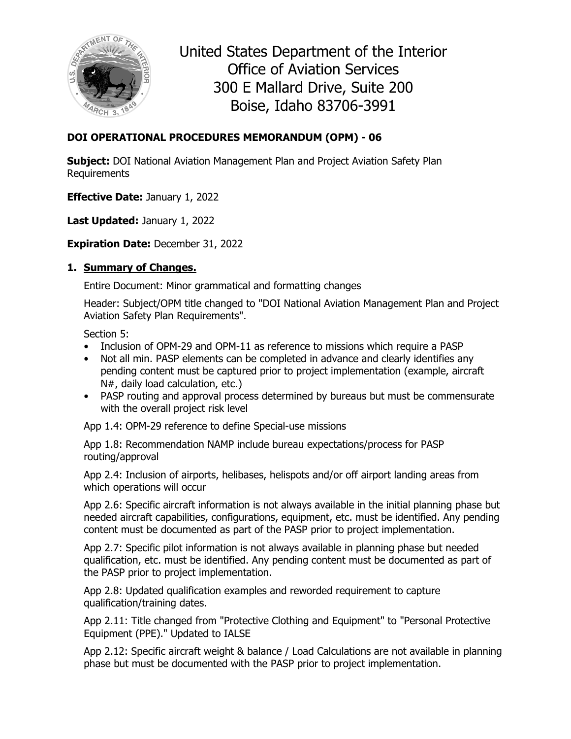

United States Department of the Interior Office of Aviation Services 300 E Mallard Drive, Suite 200 Boise, Idaho 83706-3991

# **DOI OPERATIONAL PROCEDURES MEMORANDUM (OPM) - 06**

**Subject:** DOI National Aviation Management Plan and Project Aviation Safety Plan Requirements

**Effective Date:** January 1, 2022

Last Updated: January 1, 2022

**Expiration Date:** December 31, 2022

#### **1. Summary of Changes.**

Entire Document: Minor grammatical and formatting changes

Header: Subject/OPM title changed to "DOI National Aviation Management Plan and Project Aviation Safety Plan Requirements".

Section 5:

- Inclusion of OPM-29 and OPM-11 as reference to missions which require a PASP
- Not all min. PASP elements can be completed in advance and clearly identifies any pending content must be captured prior to project implementation (example, aircraft N#, daily load calculation, etc.)
- PASP routing and approval process determined by bureaus but must be commensurate with the overall project risk level

App 1.4: OPM-29 reference to define Special-use missions

App 1.8: Recommendation NAMP include bureau expectations/process for PASP routing/approval

App 2.4: Inclusion of airports, helibases, helispots and/or off airport landing areas from which operations will occur

App 2.6: Specific aircraft information is not always available in the initial planning phase but needed aircraft capabilities, configurations, equipment, etc. must be identified. Any pending content must be documented as part of the PASP prior to project implementation.

App 2.7: Specific pilot information is not always available in planning phase but needed qualification, etc. must be identified. Any pending content must be documented as part of the PASP prior to project implementation.

App 2.8: Updated qualification examples and reworded requirement to capture qualification/training dates.

App 2.11: Title changed from "Protective Clothing and Equipment" to "Personal Protective Equipment (PPE)." Updated to IALSE

App 2.12: Specific aircraft weight & balance / Load Calculations are not available in planning phase but must be documented with the PASP prior to project implementation.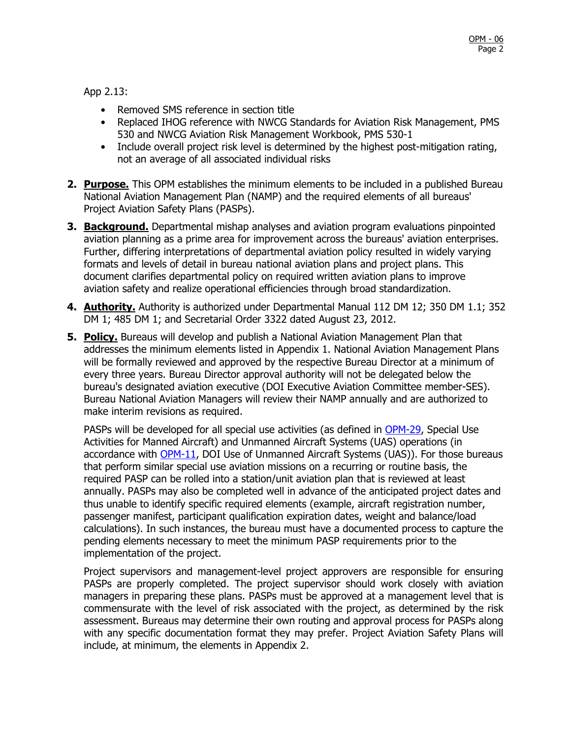App 2.13:

- Removed SMS reference in section title
- Replaced IHOG reference with NWCG Standards for Aviation Risk Management, PMS 530 and NWCG Aviation Risk Management Workbook, PMS 530-1
- Include overall project risk level is determined by the highest post-mitigation rating, not an average of all associated individual risks
- **2. Purpose.** This OPM establishes the minimum elements to be included in a published Bureau National Aviation Management Plan (NAMP) and the required elements of all bureaus' Project Aviation Safety Plans (PASPs).
- **3. Background.** Departmental mishap analyses and aviation program evaluations pinpointed aviation planning as a prime area for improvement across the bureaus' aviation enterprises. Further, differing interpretations of departmental aviation policy resulted in widely varying formats and levels of detail in bureau national aviation plans and project plans. This document clarifies departmental policy on required written aviation plans to improve aviation safety and realize operational efficiencies through broad standardization.
- **4. Authority.** Authority is authorized under Departmental Manual 112 DM 12; 350 DM 1.1; 352 DM 1; 485 DM 1; and Secretarial Order 3322 dated August 23, 2012.
- **5. Policy.** Bureaus will develop and publish a National Aviation Management Plan that addresses the minimum elements listed in Appendix 1. National Aviation Management Plans will be formally reviewed and approved by the respective Bureau Director at a minimum of every three years. Bureau Director approval authority will not be delegated below the bureau's designated aviation executive (DOI Executive Aviation Committee member-SES). Bureau National Aviation Managers will review their NAMP annually and are authorized to make interim revisions as required.

PASPs will be developed for all special use activities (as defined in [OPM-29,](https://www.doi.gov/sites/doi.gov/files/opm-29.pdf) Special Use Activities for Manned Aircraft) and Unmanned Aircraft Systems (UAS) operations (in accordance with [OPM-11,](https://www.doi.gov/sites/doi.gov/files/opm-11pdf) DOI Use of Unmanned Aircraft Systems (UAS)). For those bureaus that perform similar special use aviation missions on a recurring or routine basis, the required PASP can be rolled into a station/unit aviation plan that is reviewed at least annually. PASPs may also be completed well in advance of the anticipated project dates and thus unable to identify specific required elements (example, aircraft registration number, passenger manifest, participant qualification expiration dates, weight and balance/load calculations). In such instances, the bureau must have a documented process to capture the pending elements necessary to meet the minimum PASP requirements prior to the implementation of the project.

Project supervisors and management-level project approvers are responsible for ensuring PASPs are properly completed. The project supervisor should work closely with aviation managers in preparing these plans. PASPs must be approved at a management level that is commensurate with the level of risk associated with the project, as determined by the risk assessment. Bureaus may determine their own routing and approval process for PASPs along with any specific documentation format they may prefer. Project Aviation Safety Plans will include, at minimum, the elements in Appendix 2.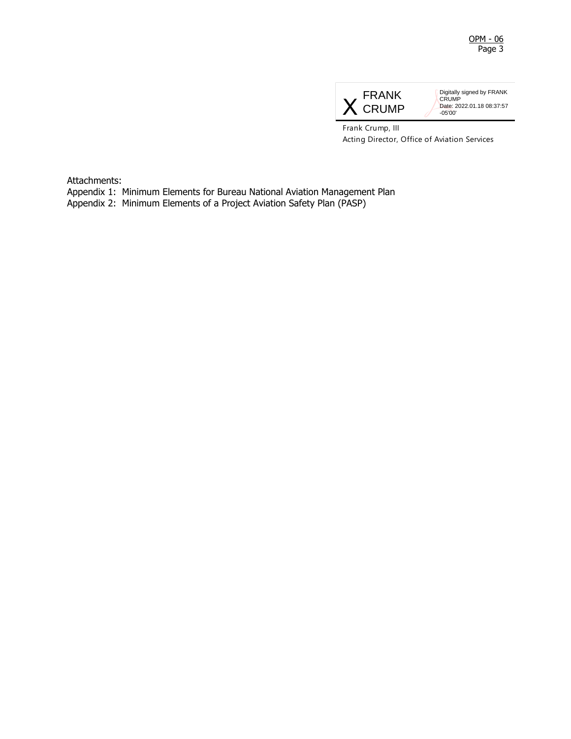

Digitally signed by FRANK CRUMP Date: 2022.01.18 08:37:57 -05'00'

Frank Crump, III Acting Director, Office of Aviation Services

Attachments:

Appendix 1: Minimum Elements for Bureau National Aviation Management Plan

Appendix 2: Minimum Elements of a Project Aviation Safety Plan (PASP)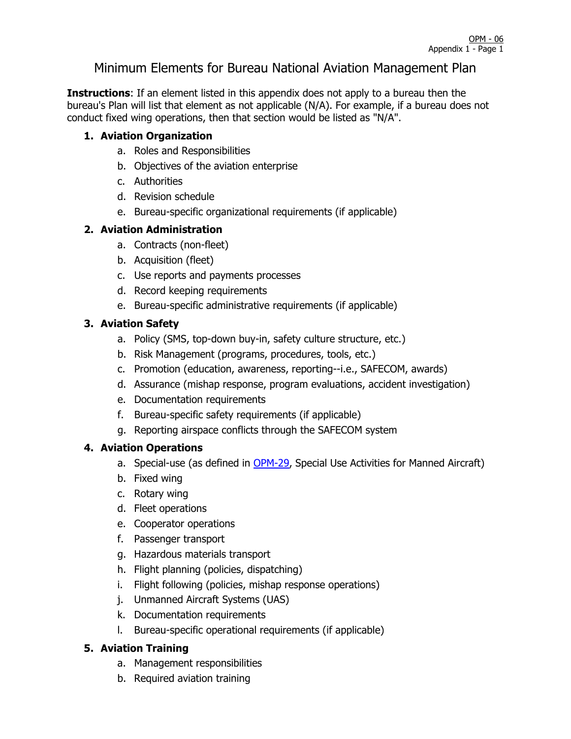# Minimum Elements for Bureau National Aviation Management Plan

**Instructions**: If an element listed in this appendix does not apply to a bureau then the bureau's Plan will list that element as not applicable (N/A). For example, if a bureau does not conduct fixed wing operations, then that section would be listed as "N/A".

#### **1. Aviation Organization**

- a. Roles and Responsibilities
- b. Objectives of the aviation enterprise
- c. Authorities
- d. Revision schedule
- e. Bureau-specific organizational requirements (if applicable)

## **2. Aviation Administration**

- a. Contracts (non-fleet)
- b. Acquisition (fleet)
- c. Use reports and payments processes
- d. Record keeping requirements
- e. Bureau-specific administrative requirements (if applicable)

## **3. Aviation Safety**

- a. Policy (SMS, top-down buy-in, safety culture structure, etc.)
- b. Risk Management (programs, procedures, tools, etc.)
- c. Promotion (education, awareness, reporting--i.e., SAFECOM, awards)
- d. Assurance (mishap response, program evaluations, accident investigation)
- e. Documentation requirements
- f. Bureau-specific safety requirements (if applicable)
- g. Reporting airspace conflicts through the SAFECOM system

#### **4. Aviation Operations**

- a. Special-use (as defined in [OPM-29,](https://www.doi.gov/sites/doi.gov/files/opm-29.pdf) Special Use Activities for Manned Aircraft)
- b. Fixed wing
- c. Rotary wing
- d. Fleet operations
- e. Cooperator operations
- f. Passenger transport
- g. Hazardous materials transport
- h. Flight planning (policies, dispatching)
- i. Flight following (policies, mishap response operations)
- j. Unmanned Aircraft Systems (UAS)
- k. Documentation requirements
- l. Bureau-specific operational requirements (if applicable)

#### **5. Aviation Training**

- a. Management responsibilities
- b. Required aviation training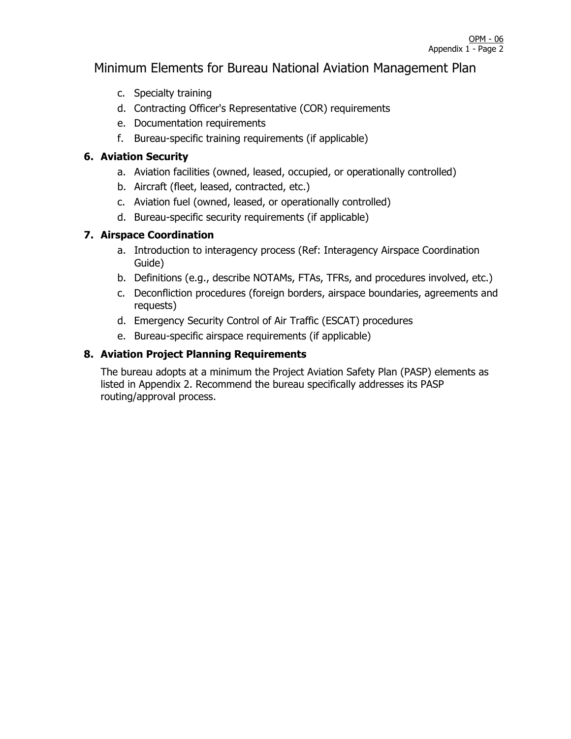# Minimum Elements for Bureau National Aviation Management Plan

- c. Specialty training
- d. Contracting Officer's Representative (COR) requirements
- e. Documentation requirements
- f. Bureau-specific training requirements (if applicable)

#### **6. Aviation Security**

- a. Aviation facilities (owned, leased, occupied, or operationally controlled)
- b. Aircraft (fleet, leased, contracted, etc.)
- c. Aviation fuel (owned, leased, or operationally controlled)
- d. Bureau-specific security requirements (if applicable)

## **7. Airspace Coordination**

- a. Introduction to interagency process (Ref: Interagency Airspace Coordination Guide)
- b. Definitions (e.g., describe NOTAMs, FTAs, TFRs, and procedures involved, etc.)
- c. Deconfliction procedures (foreign borders, airspace boundaries, agreements and requests)
- d. Emergency Security Control of Air Traffic (ESCAT) procedures
- e. Bureau-specific airspace requirements (if applicable)

## **8. Aviation Project Planning Requirements**

The bureau adopts at a minimum the Project Aviation Safety Plan (PASP) elements as listed in Appendix 2. Recommend the bureau specifically addresses its PASP routing/approval process.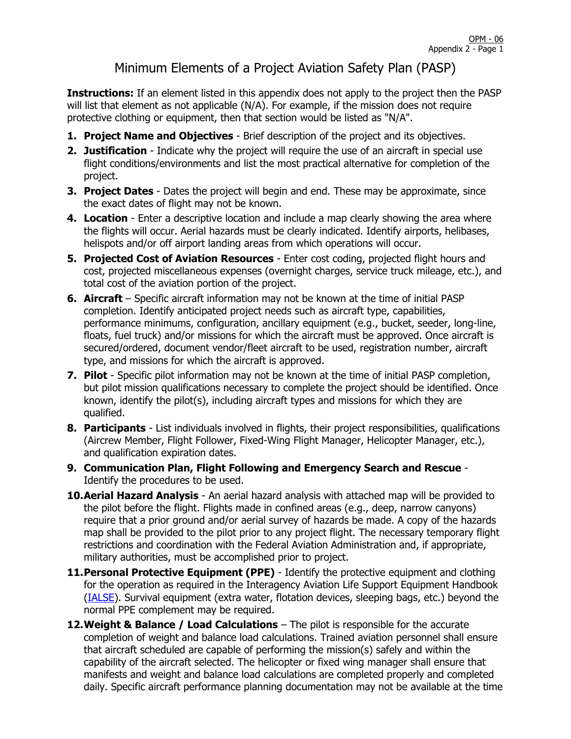# Minimum Elements of a Project Aviation Safety Plan (PASP)

**Instructions:** If an element listed in this appendix does not apply to the project then the PASP will list that element as not applicable (N/A). For example, if the mission does not require protective clothing or equipment, then that section would be listed as "N/A".

- **1. Project Name and Objectives** Brief description of the project and its objectives.
- **2. Justification** Indicate why the project will require the use of an aircraft in special use flight conditions/environments and list the most practical alternative for completion of the project.
- **3. Project Dates** Dates the project will begin and end. These may be approximate, since the exact dates of flight may not be known.
- **4. Location** Enter a descriptive location and include a map clearly showing the area where the flights will occur. Aerial hazards must be clearly indicated. Identify airports, helibases, helispots and/or off airport landing areas from which operations will occur.
- **5. Projected Cost of Aviation Resources** Enter cost coding, projected flight hours and cost, projected miscellaneous expenses (overnight charges, service truck mileage, etc.), and total cost of the aviation portion of the project.
- **6. Aircraft**  Specific aircraft information may not be known at the time of initial PASP completion. Identify anticipated project needs such as aircraft type, capabilities, performance minimums, configuration, ancillary equipment (e.g., bucket, seeder, long-line, floats, fuel truck) and/or missions for which the aircraft must be approved. Once aircraft is secured/ordered, document vendor/fleet aircraft to be used, registration number, aircraft type, and missions for which the aircraft is approved.
- **7. Pilot** Specific pilot information may not be known at the time of initial PASP completion, but pilot mission qualifications necessary to complete the project should be identified. Once known, identify the pilot(s), including aircraft types and missions for which they are qualified.
- **8. Participants** List individuals involved in flights, their project responsibilities, qualifications (Aircrew Member, Flight Follower, Fixed-Wing Flight Manager, Helicopter Manager, etc.), and qualification expiration dates.
- **9. Communication Plan, Flight Following and Emergency Search and Rescue** Identify the procedures to be used.
- **10.Aerial Hazard Analysis** An aerial hazard analysis with attached map will be provided to the pilot before the flight. Flights made in confined areas (e.g., deep, narrow canyons) require that a prior ground and/or aerial survey of hazards be made. A copy of the hazards map shall be provided to the pilot prior to any project flight. The necessary temporary flight restrictions and coordination with the Federal Aviation Administration and, if appropriate, military authorities, must be accomplished prior to project.
- **11. Personal Protective Equipment (PPE)** Identify the protective equipment and clothing for the operation as required in the Interagency Aviation Life Support Equipment Handbook [\(IALSE\)](https://www.doi.gov/sites/doi.gov/files/interagency-aviation-life-support-equiment-handbook-guide-v3.0.pdf). Survival equipment (extra water, flotation devices, sleeping bags, etc.) beyond the normal PPE complement may be required.
- **12.Weight & Balance / Load Calculations** The pilot is responsible for the accurate completion of weight and balance load calculations. Trained aviation personnel shall ensure that aircraft scheduled are capable of performing the mission(s) safely and within the capability of the aircraft selected. The helicopter or fixed wing manager shall ensure that manifests and weight and balance load calculations are completed properly and completed daily. Specific aircraft performance planning documentation may not be available at the time